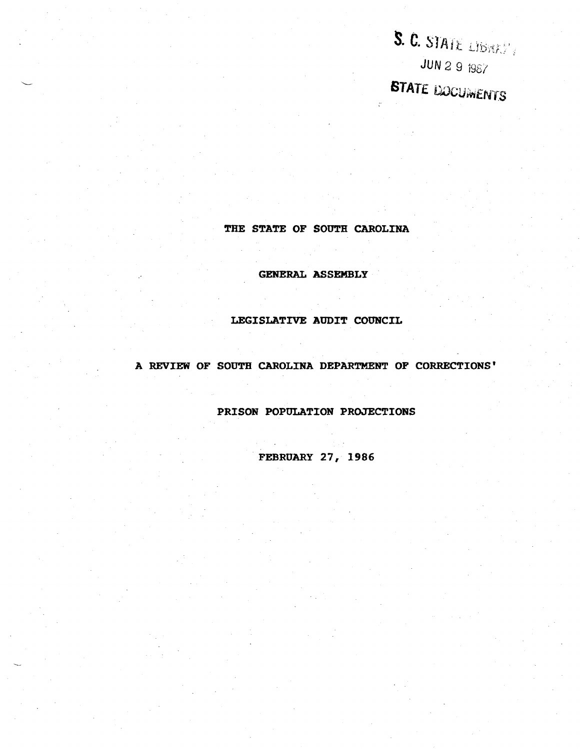S. C. STATE LIBRARY **JUN 2 9 1987** STATE DOCUMENTS

## THE STATE OF SOUTH CAROLINA

GENERAL ASSEMBLY

# LEGISLATIVE AUDIT COUNCIL

# A REVIEW OF SOUTH CAROLINA DEPARTMENT OF CORRECTIONS'

# PRISON POPULATION PROJECTIONS

FEBRUARY 27, 1986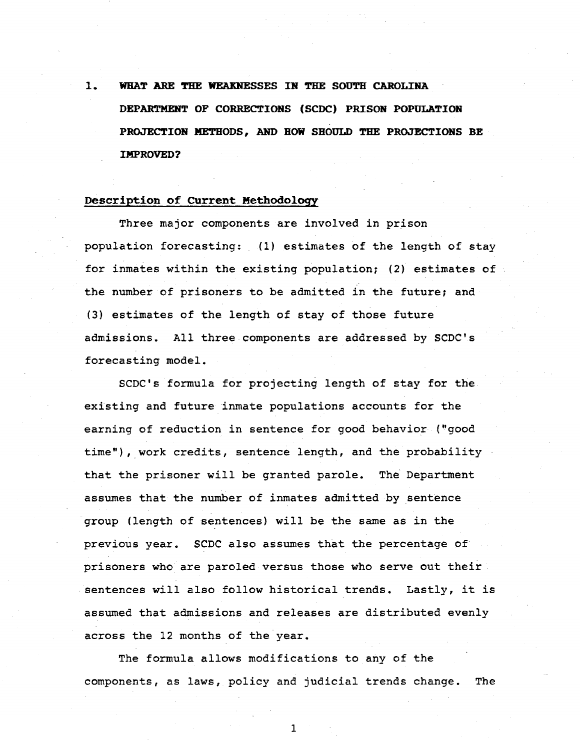# 1. WHAT ARE THE WEAKNESSES IN THE SOUTH CAROLINA DEPARTMENT OF CORRECTIONS (SCDC) PRISON POPULATION **PROJECTION METHODS, AND HOW SHOULD THE PROJECTIONS BE IMPROVED?**

## **Description of Current Methodology**

Three major components are involved in prison population forecasting: (1) estimates of the length of stay for inmates within the existing population; (2) estimates of the number of prisoners to be admitted in the future; and (3) estimates of the length of stay of those future admissions. All three.components are addressed by SCDC's forecasting model.

SCDC's formula for projecting length of stay for the existing and future inmate populations accounts for the earning of reduction in sentence for good behavior (''good time"), work credits, sentence length, and the probability that the prisoner will be granted parole. The Department assumes that the number of inmates admitted by sentence group (length of sentences) will be the same as in the previous year. SCDC also assumes that the percentage of prisoners who are paroled versus those who serve out their sentences will also follow historical trends. Lastly, it is assumed that admissions and releases are distributed evenly across the 12 months of the year.

The formula allows modifications to any of the components, as laws, policy and judicial trends change. The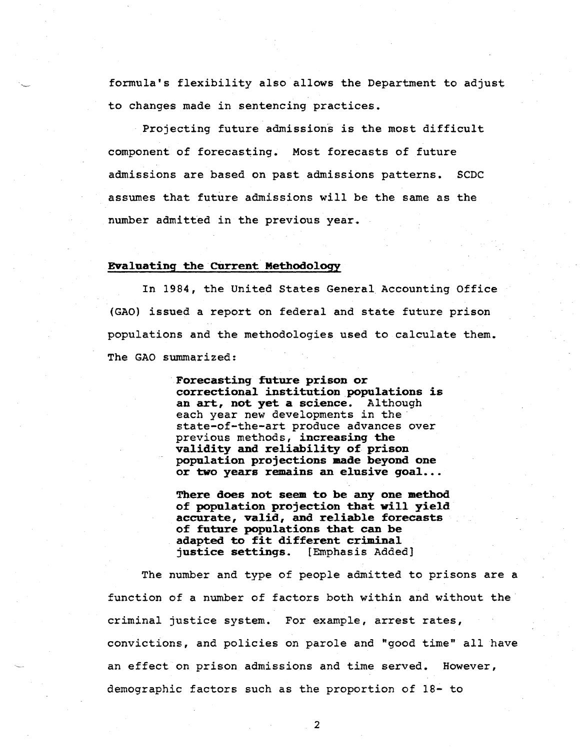formula's flexibility also allows the Department to adjust to changes made in sentencing practices.

Projecting future admissions is the most difficult component of forecasting. Most forecasts of future admissions are based on past admissions patterns. SCDC assumes that future admissions will be the same as the number admitted in the previous year.

#### Evaluating the CUrrent Methodology

In 1984, the United States General Accounting Office (GAO) issued a report on federal and state future prison populations and the methodologies used to calculate them. The GAO summarized:

> Forecasting future prison or correctional institution populations is an art, not yet a science. Although each year new developments in the<br>state-of-the-art produce advances over previous methods, increasing the validity and reliability of prison population projections made beyond one or two years remains an elusive goal...

There does not seem to be any one method of population projection that will yield accurate, valid, and reliable forecasts of future populations that can be adapted to fit different criminal justice settings. [Emphasis Added]

The number and type of people admitted to prisons are a function of a number of factors both within and without the criminal justice system. For example, arrest rates, convictions, and policies on parole and "good time" all have an effect on prison admissions and time served. However, demographic factors such as the proportion of 18- to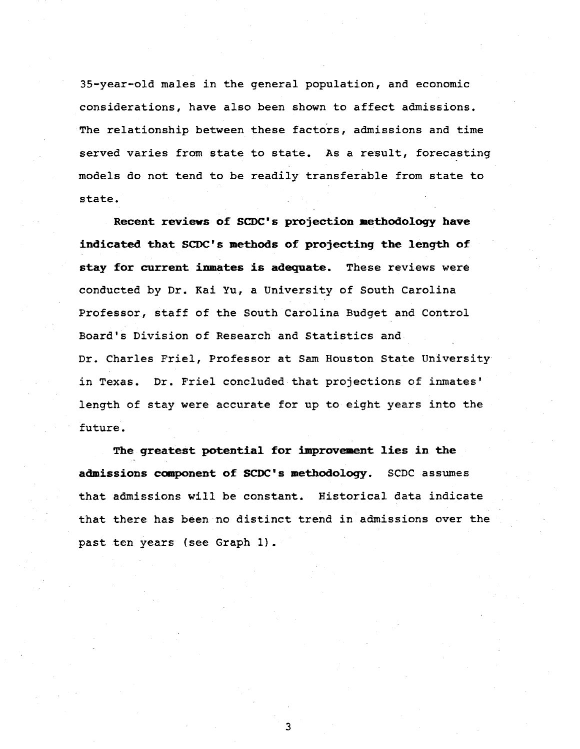35-year-old males in the general population, and economic considerations, have also been shown to affect admissions. The relationship between these factors, admissions and time served varies from state to state. As a result, forecasting models do not tend to be readily transferable from state to state.

**Recent reviews of SCDC's projection aetbodology have indicated that SCDC's methods of projecting the length of stay for current inmates is adequate.** These reviews were conducted by Dr. Kai Yu, a University of South Carolina Professor, staff of the South Carolina Budget and Control Board's Division of Research and Statistics and Dr. Charles Friel, Professor at Sam Houston State University in Texas. Dr. Friel concluded that projections of inmates' length of stay were accurate for up to eight years into the future.

**The greatest potential for improvement lies in the admissions c0111p0nent of SCDC' s methodology.** SCDC assumes that admissions will be constant. Historical data indicate that there has been no distinct trend in admissions over the past ten years (see Graph 1).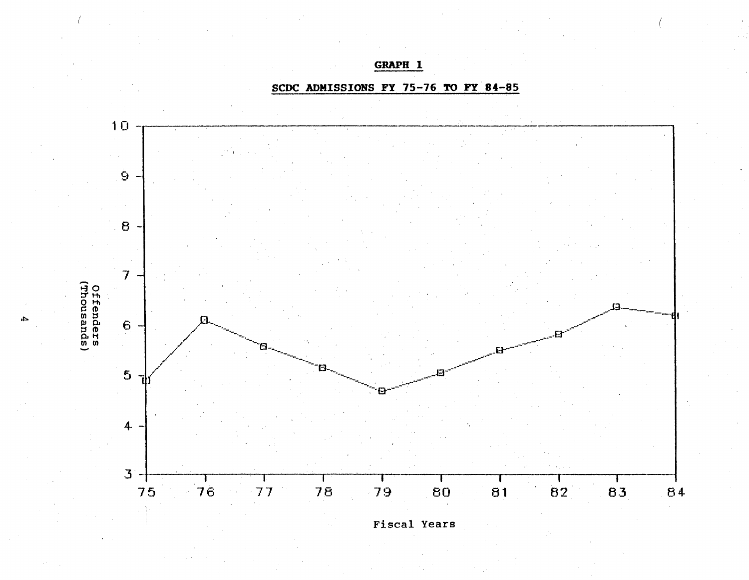GRAPH<sub>1</sub>

SCDC ADMISSIONS FY 75-76 TO FY 84-85



 $\blacktriangle$ 

**Fiscal Years**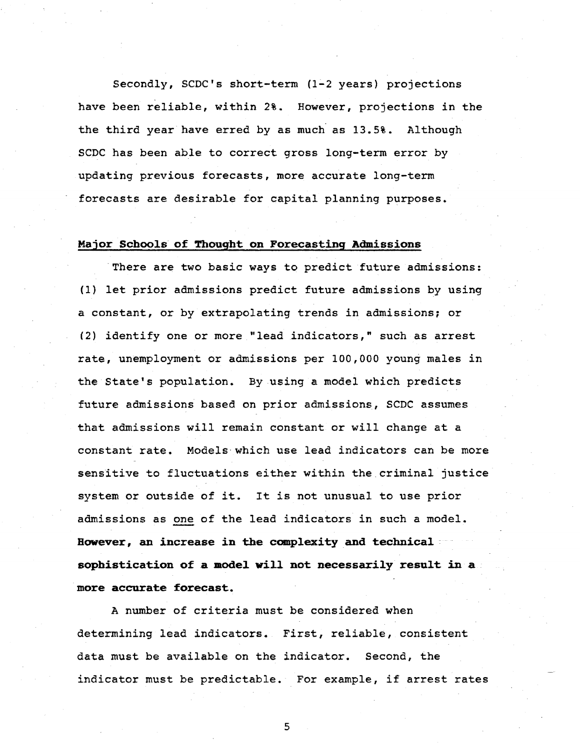Secondly, SCDC's short-term (1-2 years) projections have been reliable, within 2%. However, projections in the the third year have erred by as much as 13.5%. Although SCDC has been able to correct gross long-term error by updating previous forecasts, more accurate long-term forecasts are desirable for capital planning purposes.

## Major Schools of Thought on Forecasting Admissions

There are two basic ways to predict future admissions: (1) let prior admissions predict future admissions by using a constant, or by extrapolating trends in admissions; or (2) identify one or more "lead indicators," such as arrest rate, unemployment or admissions per 100,000 young males in the State's population. By using a model which predicts future admissions based on prior admissions, SCDC assumes that admissions will remain constant or will change at a constant rate. Models which use lead indicators can be more sensitive to fluctuations either within the.criminal justice system or outside of it. It is not unusual to use prior admissions as one of the lead indicators in such a model. However, an increase in the complexity and technical ... sophistication of a model will not necessarily result in a . more accurate forecast.

A number of criteria must be considered when determining lead indicators. First, reliable, consistent data must be available on the indicator. Second, the indicator must be predictable. For example, if arrest rates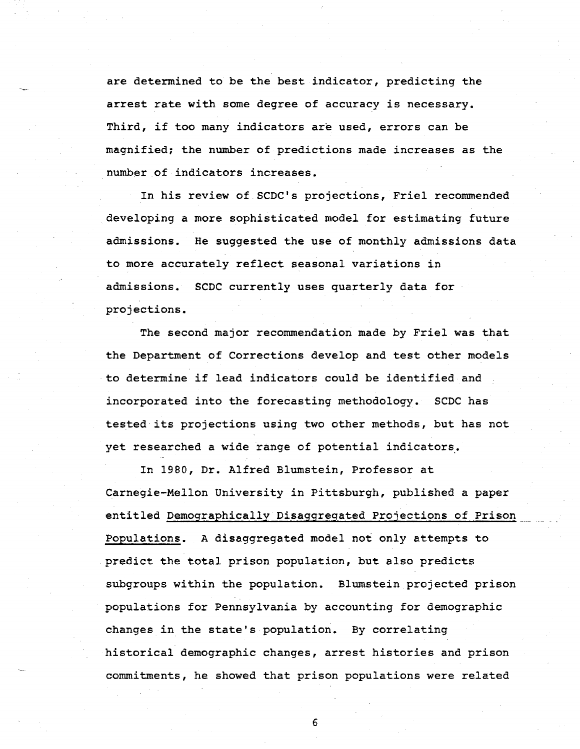are determined to be the best indicator, predicting the arrest rate with some degree of accuracy is necessary. Third, if too many indicators are used, errors can be magnified; the number of predictions made increases as the number of indicators increases.

In his review of SCDC's projections, Friel recommended developing a more sophisticated model for estimating future admissions. He suggested the use of monthly admissions data to more accurately reflect seasonal variations in admissions. SCDC currently uses quarterly data for projections.

The second major recommendation made by Friel was that the Department of Corrections develop and test other models to determine if lead indicators could be identified and incorporated into the forecasting methodology. SCDC has tested its projections using two other methods, but has not yet researched a wide range of potential indicators.

In 1980, Dr. Alfred Blumstein, Professor at Carnegie-Mellon University in Pittsburgh, published a paper entitled Demographically Disaggregated Projections of Prison Populations. A disaggregated model not only attempts to predict the total prison population, but also predicts subgroups within the population. Blumstein projected prison populations for Pennsylvania by accounting for demographic changes in the state's population. By correlating historical demographic changes, arrest histories and prison commitments, he showed that prison populations were related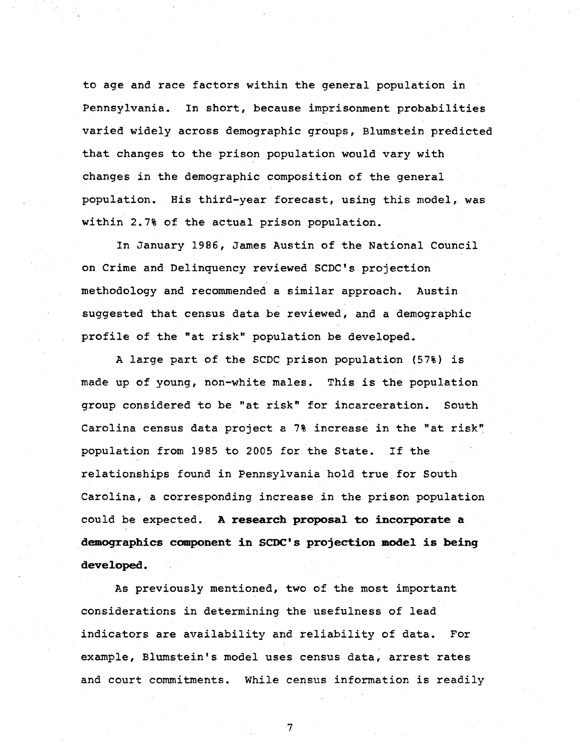to age and race factors within the general population in Pennsylvania. In short, because imprisonment probabilities varied widely across demographic groups, Blumstein predicted that changes to the prison population would vary with changes in the demographic composition of the general population. His third-year forecast, using this model, was within 2.7% of the actual prison population.

In January 1986, James Austin of the National Council on Crime and Delinquency reviewed SCDC's projection methodology and recommended a similar approach. Austin suggested that census data be reviewed, and a demographic profile of the "at risk" population be developed.

A large part of the SCDC prison population (57%) is made up of young, non-white males. This is the population group considered to be "at risk" for incarceration. South Carolina census data project a 7% increase in the "at risk" population from 1985 to 2005 for the State. If the relationships found in Pennsylvania hold true for South Carolina, a corresponding increase in the prison population could be expected. **A research proposal to incorporate a demographics component in SCDC's projection model is beinq developed.** 

As previously mentioned, two of the most important considerations in determining the usefulness of lead indicators are availability and reliability of data. For example, Blumstein's model uses census data, arrest rates and court commitments. While census information is readily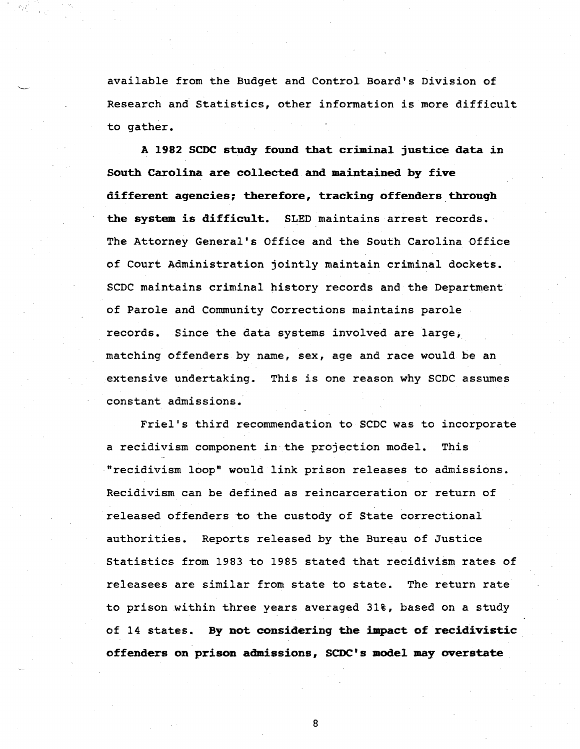available from the Budget and Control Board's Division of Research and Statistics, other information is more difficult to gather.

A 1982 SCDC study found that criminal justice data in South Carolina are collected and maintained by five different agencies; therefore, tracking offenders through the system is difficult. SLED maintains arrest records. The Attorney General's Office and the South Carolina Office of Court Administration jointly maintain criminal dockets. SCDC maintains criminal history records and the Department of Parole and Community Corrections maintains parole records. Since the data systems involved are large, matching offenders by name, sex, age and race would be an extensive undertaking. This is one reason why SCDC assumes constant admissions.

Friel's third recommendation to SCDC was to incorporate a recidivism component in the projection model. This "recidivism loop" would link prison releases to admissions. Recidivism can be defined as reincarceration or return of released offenders to the custody of State correctional authorities. Reports released by the Bureau of Justice Statistics from 1983 to 1985 stated that recidivism rates of releasees are similar from state to state. The return rate to prison within three years averaged 31%, based on a study of 14 states. By not considering the impact of recidivistic offenders on prison admissions, SCDC' s model may overstate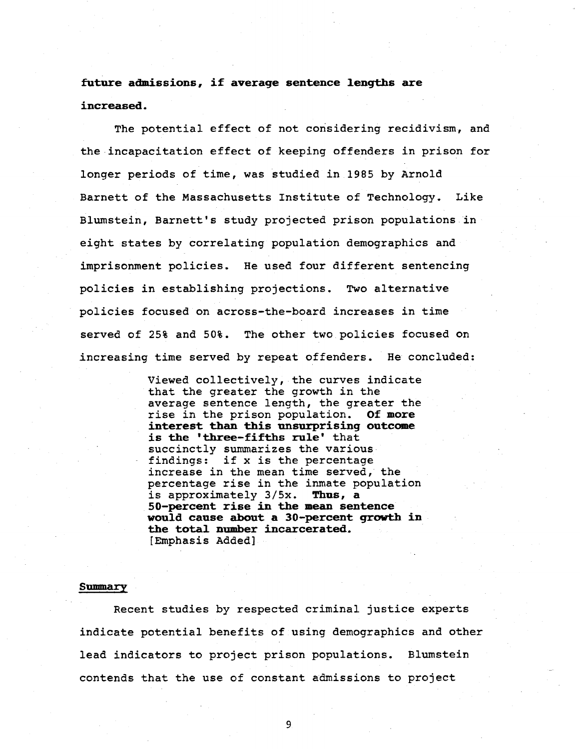# **future admissions, if average sentence lengths are increased.**

The potential effect of not considering recidivism, and the incapacitation effect of keeping offenders in prison for longer periods of time, was studied in 1985 by Arnold Barnett of the Massachusetts Institute of Technology. Like Blumstein, Barnett's study projected prison populations in eight states by correlating population demographics and imprisonment policies. He used four different sentencing policies in establishing projections. Two alternative policies focused on across-the-board increases in time served of 25% and 50%. The other two policies focused on increasing time served by repeat offenders. He concluded:

> Viewed collectively, the curves indicate that the greater the growth in the average sentence length, the greater the rise in the prison population. Of **more interest than this unsurprising outcome is the 'three-fifths rule'** that succinctly summarizes the various findings: if x is the percentage increase in the mean time served, the percentage rise in the inmate population<br>is approximately  $3/5x$ . Thus, a is approximately 3/Sx. **Thus, a 50-percent rise in the mean sentence would cause about a 30-percent growth in the total number incarcerated.**  [Emphasis Added]

#### **Summary**

Recent studies by respected criminal justice experts indicate potential benefits of using demographics and other lead indicators to project prison populations. Blumstein contends that the use of constant admissions to project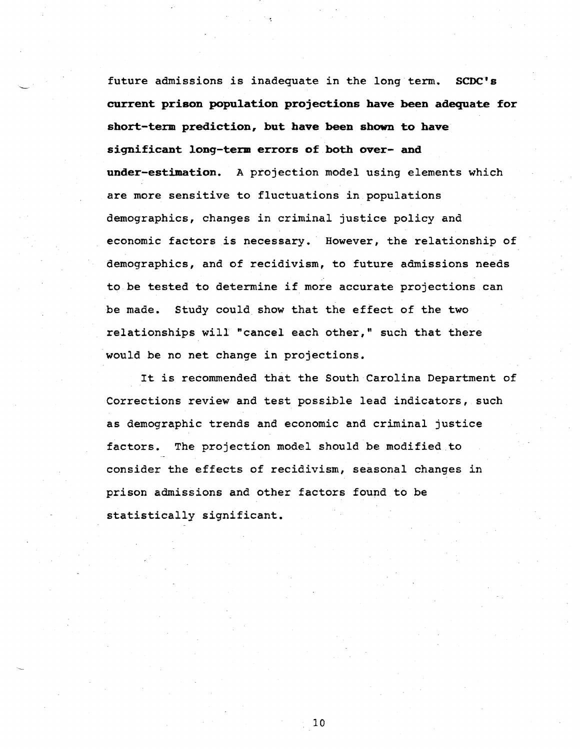future admissions is inadequate in the long·term. **SCDC's current prison population projections have been adequate for short-term prediction, but have been shown to have significant long-term errors of both over- and under-estimation.** A projection model using elements which are more sensitive to fluctuations in populations demographics, changes in criminal justice policy and economic factors is necessary. However, the relationship of demographics, and of recidivism, to future admissions needs to be tested to determine if more accurate projections can be made. Study could show that the effect of the two relationships will "cancel each other," such that there would be no net change in projections.

It is recommended that the South Carolina Department of Corrections review and test possible lead indicators, such as demographic trends and economic and criminal justice factors. The projection model should be modified to consider the effects of recidivism, seasonal changes in prison admissions and other factors found to be statistically significant.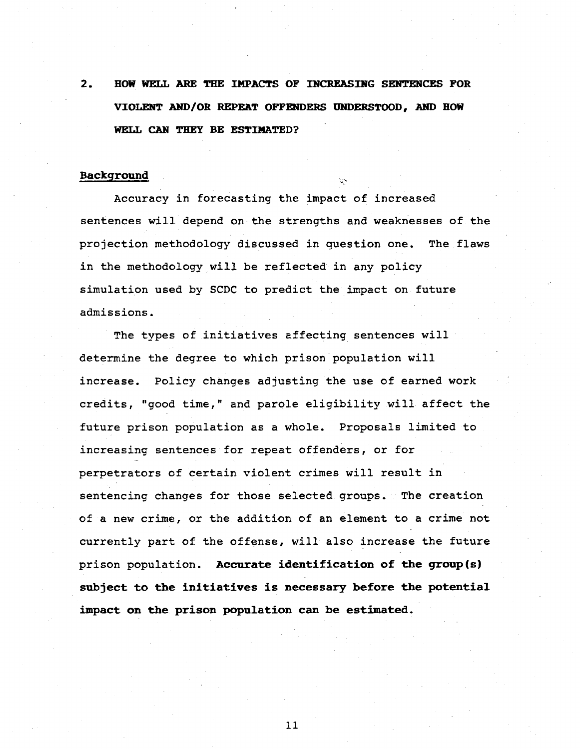2. HOW WELL ARE THE IMPACTS OF INCREASING SENTENCES FOR **VIOLENT AHD/OR REPEAT OFFENDERS UNDERSTOOD, ARD BOW WELL CAN THEY BE ESTIMATED?** 

#### **Background**

Accuracy in forecasting the impact of increased sentences will depend on the strengths and weaknesses of the projection methodology discussed in question one. The flaws in the methodology will be reflected in any policy simulation used by SCDC to predict the impact on future admissions.

The types of initiatives affecting sentences will determine the degree to which prison population will increase. Policy changes adjusting the use of earned work credits, "good time," and parole eligibility will affect the future prison population as a whole. Proposals limited to increasing sentences for repeat offenders, or for perpetrators of certain violent crimes will result in sentencing changes for those selected groups. The creation of a new crime, or the addition of an element to a crime not currently part of the offense, will also increase the future prison population. **Accurate identification of the group(s) subject to the initiatives is necessary before the potential**  impact on the prison population can be estimated.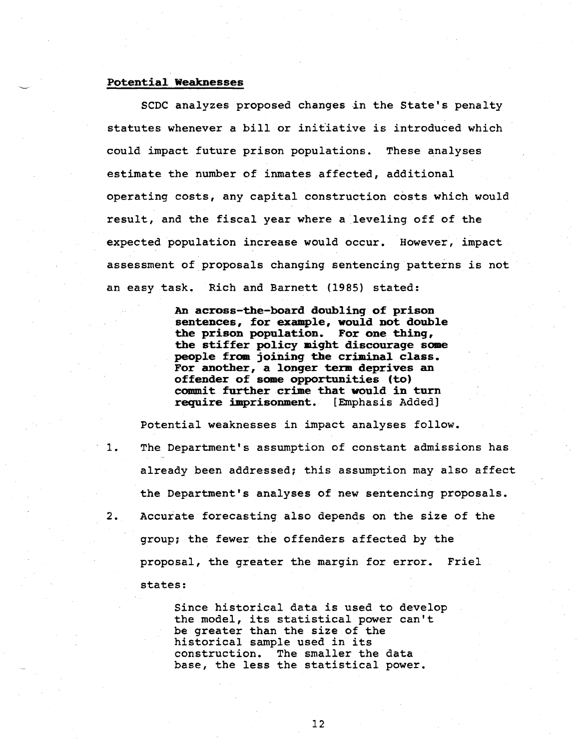#### Potential Weaknesses

SCDC analyzes proposed changes in the State's penalty statutes whenever a bill or initiative is introduced which could impact future prison populations. These analyses estimate the number of inmates affected, additional operating costs, any capital construction costs which would result, and the fiscal year where a leveling off of the expected population increase would occur. However, impact assessment of proposals changing sentencing patterns is not an easy task. Rich and Barnett (1985) stated:

> An across-the-board doublinq of prison sentences, for example, would not double the prison population. For one thinq, the stiffer policy might discourage some people from joininq the criminal class. For another, a lonqer term deprives an offender of some opportunities (to) commit further crime that would in turn require imprisonment. [Emphasis Added]

Potential weaknesses in impact analyses follow. 1. The Department's assumption of constant admissions has already been addressed; this assumption may also affect the Department's analyses of new sentencing proposals. 2. Accurate forecasting also depends on the size of the group; the fewer the offenders affected by the proposal, the greater the margin for error. Friel states:

> Since historical data is used to develop the model, its statistical power can't be greater than the size of the historical sample used in its construction. The smaller the data base, the less the statistical power.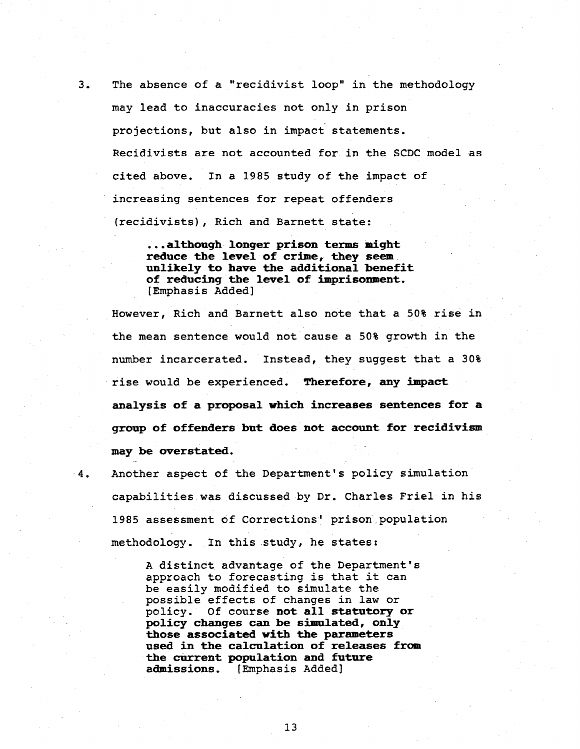3. The absence of a "recidivist loop" *in* the methodology may lead to inaccuracies not only *in* prison projections, but also *in* impact statements. Recidivists are not accounted for *in* the SCDC model as cited above. In a 1985 study of the impact of increasing sentences for repeat offenders (recidivists), Rich and Barnett state:

> ...although longer prison terms might reduce the level of crime, they seem unlikely to have the additional benefit of reducing the level of imprisonment. [Emphasis Added]

However, Rich and Barnett also note that a 50% rise in the mean sentence would not cause a 50% growth *in* the number incarcerated. Instead, they suggest that a 30% rise would be experienced. Therefore, any impact analysis of a proposal which increases sentences for a group of offenders but does not account for recidivism may be overstated.

4. Another aspect of the Department's policy simulation capabilities was discussed by Dr. Charles Friel in his 1985 assessment of Corrections' prison population methodology. In this study, he states:

> A distinct advantage of the Department's approach to forecasting *is* that it can be easily modified to simulate the possible effects of changes *in* law or policy. Of course not all statutory or policy changes can be simulated, only those associated with the parameters used in the calculation of releases from the current population and future<br>admissions. [Emphasis Added] [Emphasis Added]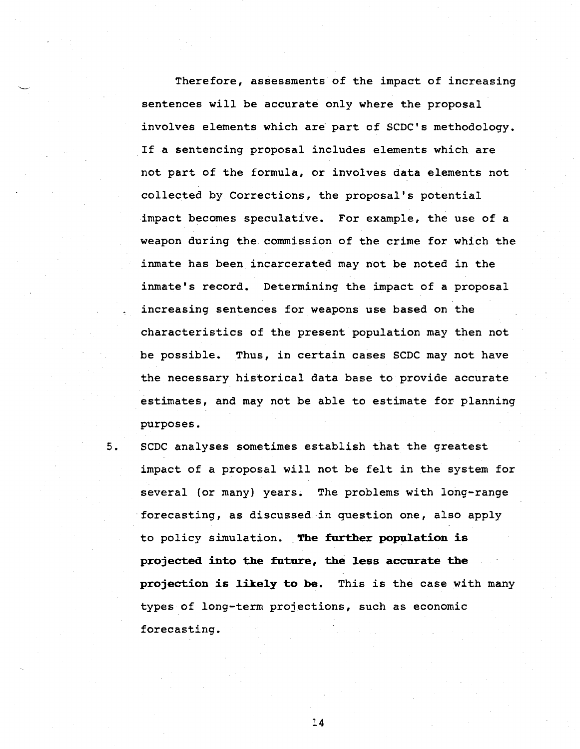Therefore, assessments of the impact of increasing sentences will be accurate only where the proposal involves elements which are part of SCDC's methodology. If a sentencing proposal includes elements which are not part of the formula, or involves data elements not collected by Corrections, the proposal's potential impact becomes speculative. For example, the use of a weapon during the commission of the crime for which the inmate has been incarcerated may not be noted in the inmate's record. Determining the impact of a proposal increasing sentences for weapons use based on the characteristics of the present population may then not be possible. Thus, in certain cases SCDC may not have the necessary historical data base to provide accurate estimates, and may not be able to estimate for planning purposes.

5. SCDC analyses sometimes establish that the greatest impact of a proposal will not be felt in the system for several (or many) years. The problems with long-range forecasting, as discussed-in question one, also apply to policy simulation. **The further population is projected into the future, the less accurate the projection is likely to be.** This is the case with many types of long-term projections, such as economic forecasting.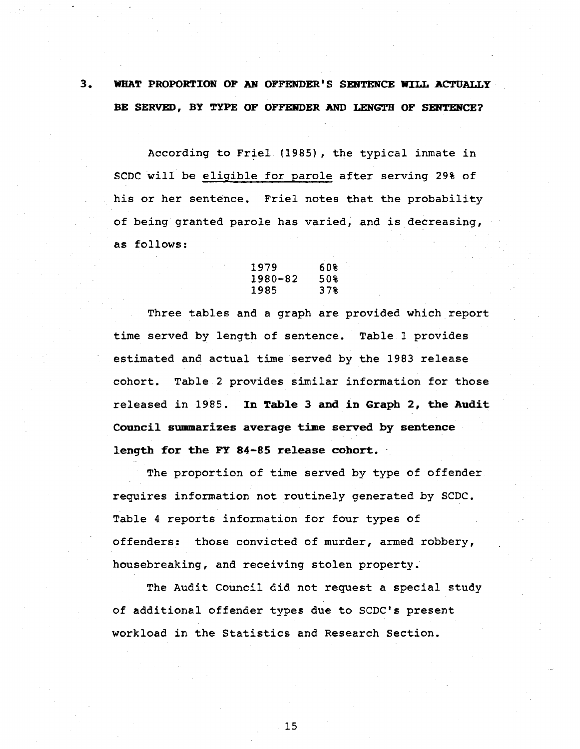# 3. WHAT PROPORTION OF AR OFFENDER'S SENTENCE WILL ACTUALLY BE SERVED, BY TYPE OF OFFENDER AND LENGTH OF SENTENCE?

According to Friel (1985) , the typical inmate in SCDC will be eligible for parole after serving 29% of his or her sentence. Friel notes that the probability of being granted parole has varied; and is decreasing, as follows:

| 1979    | 608 |
|---------|-----|
| 1980-82 | 50% |
| 1985    | 37% |

Three tables and a graph are provided which report time served by length of sentence. Table 1 provides estimated and actual time served by the 1983 release cohort. Table 2 provides similar information for those released in 1985. In Table 3 and in Graph 2, the Audit Council summarizes averaqe time served by sentence length for the FY 84-85 release cohort.

The proportion of time served by type of offender requires information not routinely generated by SCDC. Table 4 reports information for four types of offenders: those convicted of murder, armed robbery, housebreaking, and receiving stolen property.

The Audit Council did not request a special study of additional offender types due to SCDC's present workload in the Statistics and Research Section.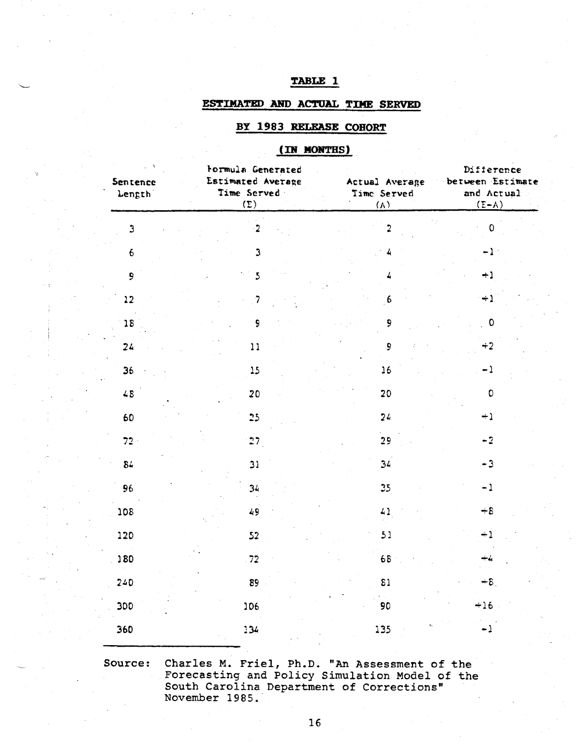# TABLE 1

## ESTIMATED AND ACTUAL TIME SERVED

# BY 1983 RELEASE COHORT

# (IN MONTHS)

| Sentence<br>Length <sup>1</sup> | Formula Generated<br>Estimated Average<br>Time Served<br>(E) | Actual Average<br>Time Served<br>(A) | Difference<br>between Estimate<br>and Actual<br>$(A-3)$ |  |
|---------------------------------|--------------------------------------------------------------|--------------------------------------|---------------------------------------------------------|--|
| $\mathfrak{Z}$                  | $\cdot$ 2                                                    | $\overline{\mathbf{2}}$              | $\mathbf 0$                                             |  |
| $6\overline{6}$                 | $\mathbf{3}$                                                 | 4                                    | $-1$                                                    |  |
| $\mathbf{9}^{\dagger}$          | $\overline{5}$                                               | 4                                    | $+1$                                                    |  |
| $12 \text{ }$                   | $\overline{\mathbf{7}}$                                      | $6 \frac{1}{2}$                      | $+1$                                                    |  |
| 18                              | 9                                                            | 9                                    | $\overline{\phantom{a}}$                                |  |
| 24                              | 11                                                           | 9                                    | $+2$                                                    |  |
| 36                              | 15                                                           | 16                                   | $-1$                                                    |  |
| $48$                            | 20                                                           | 20                                   | $\mathbf 0$                                             |  |
| 60                              | 25                                                           | 24                                   | $+1$                                                    |  |
| $72 -$                          | 27                                                           | 29                                   | $-2$                                                    |  |
| 84                              | 31                                                           | 34                                   | $-3$                                                    |  |
| 96                              | 34                                                           | 25                                   | $-1$                                                    |  |
| 30£                             | 49                                                           | 41                                   | $+8$                                                    |  |
| 120                             | 52                                                           | 51                                   | $+1$                                                    |  |
| 180                             | .72                                                          | 68                                   | ياجه                                                    |  |
| 240                             | 89                                                           | $\overline{\mathbf{3}}$              | $+8$                                                    |  |
| 300                             | 106                                                          | 90                                   | $+16$                                                   |  |
| 360                             | 134                                                          | 135                                  | $-1$                                                    |  |

Charles M. Friel, Ph.D. "An Assessment of the<br>Forecasting and Policy Simulation Model of the<br>South Carolina Department of Corrections" Source: November 1985.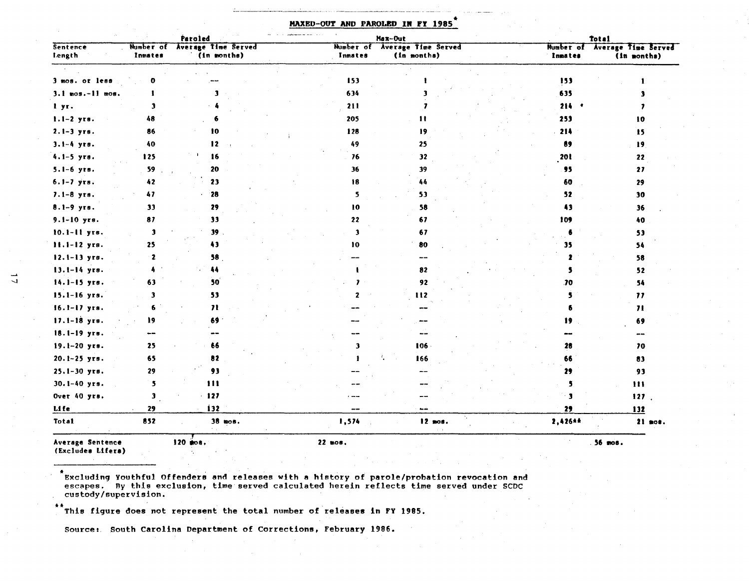|                    |                      | Paroled                                   |              | Max-Out                                      | <b>Total</b> |                         |                                              |  |
|--------------------|----------------------|-------------------------------------------|--------------|----------------------------------------------|--------------|-------------------------|----------------------------------------------|--|
| Sentence<br>Length | Number of<br>Inmates | <b>Average Time Served</b><br>(in months) | Inmates      | Number of Average Time Served<br>(in months) |              | Inmates                 | Number of Average Time Served<br>(in months) |  |
|                    |                      |                                           |              |                                              |              |                         |                                              |  |
| 3 mos. or less     |                      |                                           | 153          |                                              |              | 153                     |                                              |  |
| $3.1$ mos.-11 mos. |                      |                                           | 634          |                                              |              | 635                     |                                              |  |
| l yr.              | Э                    |                                           | 211          |                                              |              | $214 - 4$               | ,                                            |  |
| $1.1-2$ yrs.       | 48                   |                                           | 205          | $\blacksquare$                               |              | 253                     | 10                                           |  |
| $2.1 - 3$ yrs.     | 86                   | 10                                        | 128          | 19                                           |              | $-214$                  | 15                                           |  |
| $3.1 - 4$ yrs.     | 40                   | 12                                        | 49           | 25                                           |              | 89                      | 19                                           |  |
| $4.1-5$ yrs.       | 125                  | 16                                        | 76           | 32                                           |              | 201                     | 22                                           |  |
| 5.1-6 yrs.         | 59                   | 20                                        | 36           | 39                                           |              | 95                      | 27                                           |  |
| $6.1 - 7$ yrs.     | 42                   | 23                                        | 18           | 44                                           |              | 60                      | 29                                           |  |
| $7.1 - 8$ yrs.     | 47                   | 28                                        | 5            | 53                                           |              | 52                      | 30                                           |  |
| $8.1 - 9$ yrs.     | 33                   | 29                                        | 10           | 58                                           |              | 43                      | 36                                           |  |
| $9.1 - 10$ yrs.    | 87                   | 33                                        | 22           | 67                                           |              | 109                     | 40                                           |  |
| 10.1-11 yrs.       | Э                    | $39$ .                                    | $\mathbf{3}$ | 67                                           |              | 6                       | 53                                           |  |
| 11.1-12 yrs.       | 25                   | 43                                        | 10           | 80                                           |              | 35                      | 54                                           |  |
| $12.1 - 13$ yrs.   | $\mathbf{z}$         | 58                                        |              | $- -$                                        |              |                         | 58                                           |  |
| 13.1-14 yrs.       |                      | 44                                        |              | 82                                           |              | 5                       | 52                                           |  |
| 14.1-15 yrs.       | 63                   | 50                                        |              | 92                                           |              | .70                     | 54                                           |  |
| $15.1 - 16$ yrs.   | 3                    | 53                                        |              | 112                                          |              | s                       | $\boldsymbol{\eta}$                          |  |
| $16.1 - 17$ yrs.   |                      | $\boldsymbol{\eta}$                       |              |                                              |              |                         | $\overline{\mathbf{H}}$                      |  |
| 17.1-18 yrs.       | Ì9                   | 69                                        |              |                                              |              | 19                      | 69                                           |  |
| 18.1-19 yrs.       | --                   |                                           |              |                                              |              |                         | --                                           |  |
| 19.1-20 yrs.       | 25                   | 66                                        | 3            | $106 -$                                      |              | 28                      | 70                                           |  |
| $20.1 - 25$ yrs.   | 65                   | 82                                        |              | 166                                          |              | 66                      | 83                                           |  |
| 25.1-30 утв.       | 29                   | 93                                        |              |                                              |              | 29                      | 93                                           |  |
| $30.1 - 40$ yrs.   | 5                    | 111                                       |              |                                              |              | 5                       | 111                                          |  |
| Over 40 yrs.       | $\mathbf{3}$         | $-127$                                    |              |                                              |              | $\overline{\mathbf{3}}$ | 127.                                         |  |
| Life               | 29                   | 132                                       | --           | to air                                       |              | 29                      | 132                                          |  |
| <b>Total</b>       | 852                  | $38$ mos.                                 | 1,574        | 74.<br>12 mos.                               |              | 2,426**                 | 21 mos.                                      |  |
| Average Sentence   |                      | 120 mos.                                  | 22 mos.      |                                              |              |                         | 56 mos.                                      |  |

#### MAXED-OUT AND PAROLED IN FY 1985

(Excludes Lifers)

\*<br>Excluding Youthful Offenders and releases with a history of parole/probation revocation and<br>escapes. By this exclusion, time served calculated herein reflects time served under SCDC custody/supervision.

\*\*This figure does not represent the total number of releases in FY 1985.

Source: South Carolina Department of Corrections, February 1986.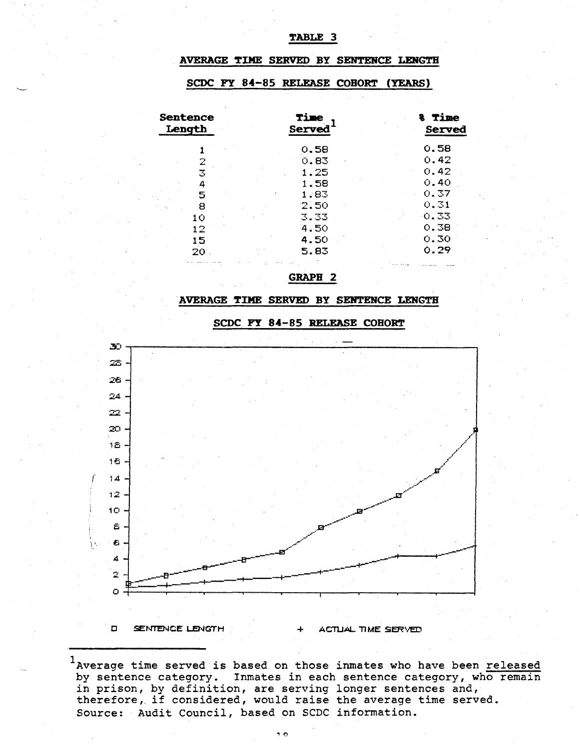#### TABLE 3

## AVERAGE TIME SERVED BY SENTENCE LENGTH

#### SCDC FY 84-85 RELEASE COHORT (YEARS)

| <b>Sentence</b><br>Length | Time<br>Served | <b>&amp; Time</b><br>Served |  |  |
|---------------------------|----------------|-----------------------------|--|--|
|                           | 0.58           | 0.58                        |  |  |
|                           | 0.83           | 0.42                        |  |  |
| 3                         | 1.25           | 0.42                        |  |  |
|                           | 1.58           | 0.40                        |  |  |
| 5                         | 1.83           | 0.37                        |  |  |
| 8                         | 2.50           | 0.31                        |  |  |
| 10                        | 3.33           | -0.33                       |  |  |
| 12                        | 4.50           | 0.38                        |  |  |
| 15                        | 4.50           | 0.30                        |  |  |
| 20                        | 5.83           | 0.29                        |  |  |
|                           |                |                             |  |  |

**GRAPH 2** 

#### AVERAGE TIME SERVED BY SENTENCE LENGTH

## SCDC FY 84-85 RELEASE COHORT



<sup>1</sup>Average time served is based on those inmates who have been released by sentence category. Inmates in each sentence category, who remain in prison, by definition, are serving longer sentences and, therefore, if considered, would raise the average time served. Source: Audit Council, based on SCDC information.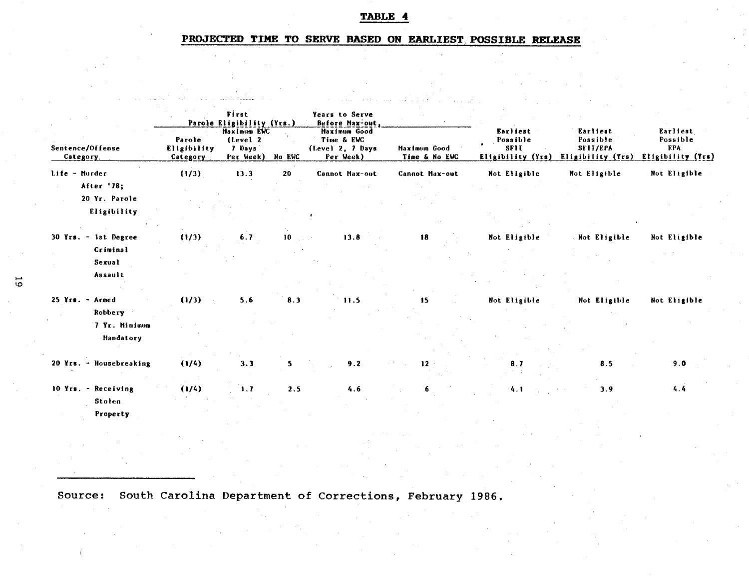# TABLE 4

# PROJECTED TIME TO SERVE BASED ON EARLIEST POSSIBLE RELEASE

|                                  |                                   | First<br>Parole Eligibility (Yrs.)                    |        | Years to Serve<br>Before Max-out,                                  |                               |                                                          |                                                       |                                                         |
|----------------------------------|-----------------------------------|-------------------------------------------------------|--------|--------------------------------------------------------------------|-------------------------------|----------------------------------------------------------|-------------------------------------------------------|---------------------------------------------------------|
| Sentence/Offense<br>Category     | Parole<br>Eligibility<br>Category | <b>Haximum EWC</b><br>(Level 2<br>7 Days<br>Per Week) | No EWC | <b>Haximum</b> Good<br>Time & EWC<br>(Level 2, 7 Days<br>Per Week) | Maximum Good<br>Time & No EWC | Earliest<br>Possible<br><b>SF11</b><br>Eligibility (Yrs) | Earliest<br>Possible<br>SFII/EPA<br>Eligibility (Yrs) | Earliest<br>Possible<br><b>EPA</b><br>Eligibility (Yrs) |
| Life - Murder                    | (1/3)                             | 13.3                                                  | 20     | Cannot Max-out                                                     | Cannot Max-out                | Not Eligible                                             | Not Eligible                                          | Not Eligible                                            |
| After '78;<br>20 Yr. Parole      |                                   |                                                       |        |                                                                    |                               |                                                          |                                                       |                                                         |
| Eligibility                      |                                   |                                                       |        |                                                                    |                               |                                                          |                                                       |                                                         |
| 30 Yrs. - 1st Degree<br>Criminal | (1/3)                             | 6.7                                                   | 10     | 13.8                                                               | 18                            | Not Eligible                                             | Not Eligible                                          | Not Eligible                                            |
| Sexual<br>Assault                |                                   |                                                       |        |                                                                    |                               |                                                          |                                                       |                                                         |
| $25$ Yrs. - Armed<br>Robbery     | (1/3)                             | 5.6                                                   | 8.3    | 11.5                                                               | 15                            | Not Eligible                                             | Not Eligible                                          | Not Eligible                                            |
| 7 Yr. Minimum<br>Mandatory       |                                   |                                                       |        |                                                                    |                               |                                                          |                                                       |                                                         |
| 20 Yrs. - Housebreaking          | (1/4)                             | 3.3                                                   | 5      | 9.2                                                                | 12                            | 8.7                                                      | 8.5                                                   | 9.0                                                     |
| 10 Yrs. - Receiving<br>Stolen    | (1/4)                             | 1.7                                                   | 2.5    | 4.6                                                                | 6.                            | 4.1                                                      | 3.9                                                   | 4.4                                                     |
| Property                         |                                   |                                                       |        |                                                                    |                               |                                                          |                                                       |                                                         |
|                                  |                                   |                                                       |        |                                                                    |                               |                                                          |                                                       |                                                         |

Source: South Carolina Department of Corrections, February 1986.

 $\overline{5}$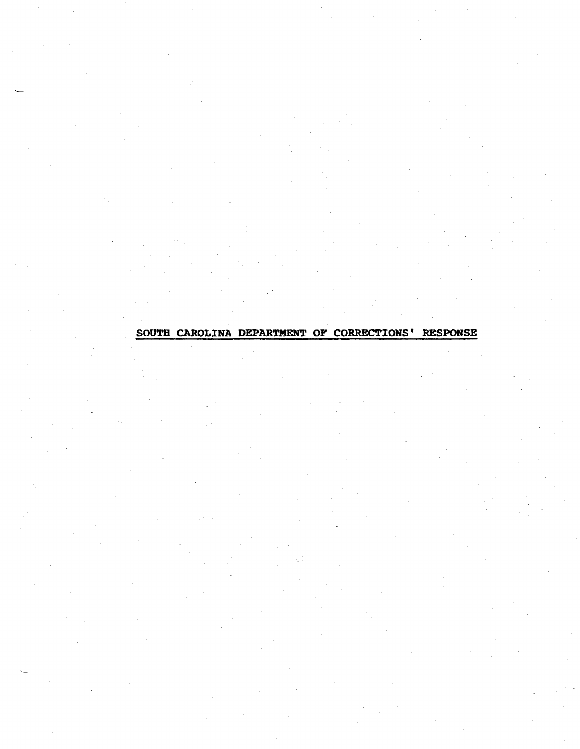# SOUTH CAROLINA DEPARTMENT OF CORRECTIONS' RESPONSE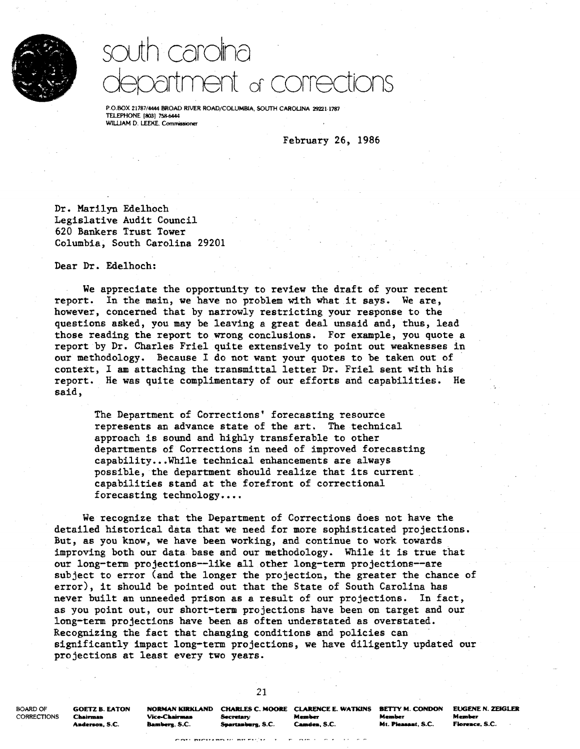

# south carolina department or corrections

P.O.BOX 21787/4444 BROAD RIVER ROAD/COLUMBIA, SOUTH CAROLINA 29221-1787 TELEPHONE (803] 758-6444 WILLIAM D. LEEKE, Commissioner

February 26, 1986

Dr. Marilyn Edelhoch Legislative Audit Council 620 Bankers Trust Tower Columbia, South Carolina 29201

Dear Dr. Edelhoch:

We appreciate the opportunity to review the draft of your recent report. In the main, we have no problem with what it says. We are, however, concerned that by narrowly restricting your response to the questions asked, you may be leaving a great deal unsaid and, thus, lead those reading the report to wrong conclusions. For example, you quote a report by Dr. Charles Friel quite extensively to point out weaknesses in our methodology. Because I do not want your quotes to be taken out of context, I am attaching the transmittal letter Dr. Friel sent with his report. He was quite complimentary of our efforts and capabilities. He said,

The Department of Corrections' forecasting resource represents an advance state of the art. The technical approach is sound and highly transferable to other departments of Corrections in need of improved forecasting capability... While technical enhancements are always possible, the department should realize that its current capabilities stand at the forefront of correctional forecasting technology....

We recognize that the Department of Corrections does not have the detailed historical data that we need for more sophisticated projections. But, as you know, we have been working, and continue to work towards improving both our data base and our methodology. While it is true that our long-term projections--like all other long-term projections--are subject to error (and the longer the projection, the greater the chance of error), it should be pointed out that the State of South Carolina has never built an unneeded prison as a result of our projections. In fact, as you point out, our short-term projections have been on target and our long-term projections have been as often understated as overstated. Recognizing the fact that changing conditions and policies can significantly impact long-term projections, we have diligently updated our projections at least every two years.

21

BOARD OF GOETZ B. EATON NORMAN KIRKLAND CHARLES C. MOORE CLARENCE E. WATKINS BETTY M. CONDON EUGENE N. ZEIGLER<br>CORRECTIONS Chairman Vice-Chairman Secretary Member Member Member Member

CORRECTIONS Chairman Vice-Chairman Secretary Member Member Member Member Member Aadenoa, S.C. Bamlllers. S.C. s.-t-....... S.C. ea-t-. S.C. Mt ......... t, S.C. FJoreace. S.C.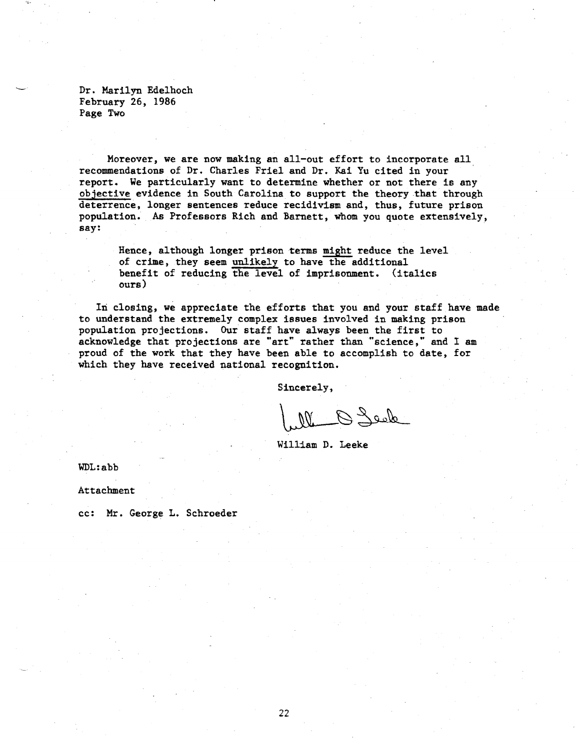Dr. Marilyn Edelhoch February 26, 1986 Page Two

Moreover, we are now making an all-out effort to incorporate all recommendations of Dr. Charles Friel and Dr. Kai Yu cited in your · report. We particularly want to determine whether or not there is any objective evidence in South Carolina to support the theory that through deterrence, longer sentences reduce recidivism and, thus, future prison population. As Professors Rich and Barnett, whom you quote extensively, say:

Hence, although longer prison terms might reduce the level of crime, they seem unlikely to have the additional benefit of reducing the level of imprisonment. (italics ours)

In closing, we appreciate the efforts that you and your staff have made to understand the extremely complex issues involved in making prison population projections. Our staff have always been the first to acknowledge that projections are "art" rather than "science," and I am proud of the work that they have been able to accomplish to date, for which they have received national recognition.

Sincerely,

M Q Seek

William D. Leeke

WDL:abb

Attachment

cc: Mr. George L. Schroeder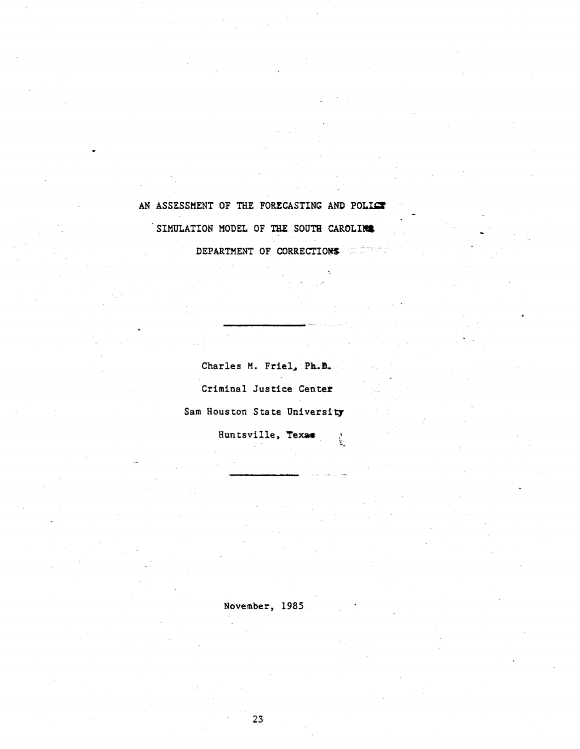# AN ASSESSMENT OF THE FORECASTING AND POLICY SIMULATION MODEL OF THE SOUTH CAROLIW& DEPARTMENT OF CORRECTIONS

•.

Charles M. Friel, Ph.D. Criminal Justice Center Sam Houston State University Huntsville, Texae  $\mathcal{C}^{\mathcal{F}}$ 

November, 1985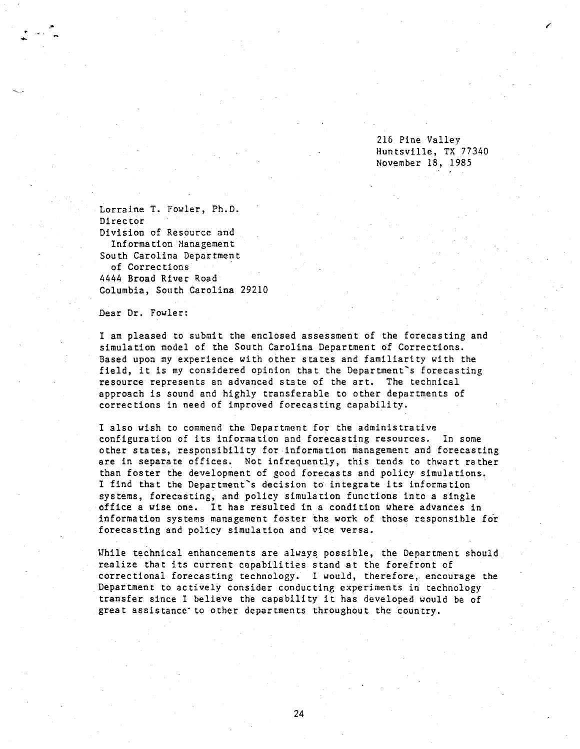216 Pine Valley Huntsville, TX 77340 November 18, 1985

Lorraine T. Fowler, Ph.D. Director Division of Resource and Information Nanagement South Carolina Department of Corrections 4444 Broad River Road Columbia, South Carolina 29210

Dear Dr. Fowler:

I am pleased to submit the enclosed assessment of the forecasting and simulation model of the South Carolina Department of Corrections. Based upon my experience with other states and familiarity with the field, it is my considered opinion that the Department's forecasting resource represents an advanced stste of the art. The technical approach is sound and highly transferable to other departments of corrections in need of improved forecasting capability.

I also wish to commend the Department for the administrative configuration of its information and forecasting resources. In some other states, responsibility for ·information management and forecasting are in separate offices. Not infrequently, this tends to thwart rather than foster the development of good forecasts and policy simulations. I find that the Department's decision to integrate its information systems, forecasting, and policy simulation functions into a single office a wise one. It has resulted in a condition where advances in information systems management foster the work of those responsible for forecasting and policy simulation and vice versa.

While technical enhancements are always possible, the Department should realize that its current capabilities stand at the forefront of correctional forecasting technology. I would, therefore, encourage the Department to actively consider conducting experiments in technology transfer since I believe the capability it has developed would be of great assistance· to other departments throughout the country.